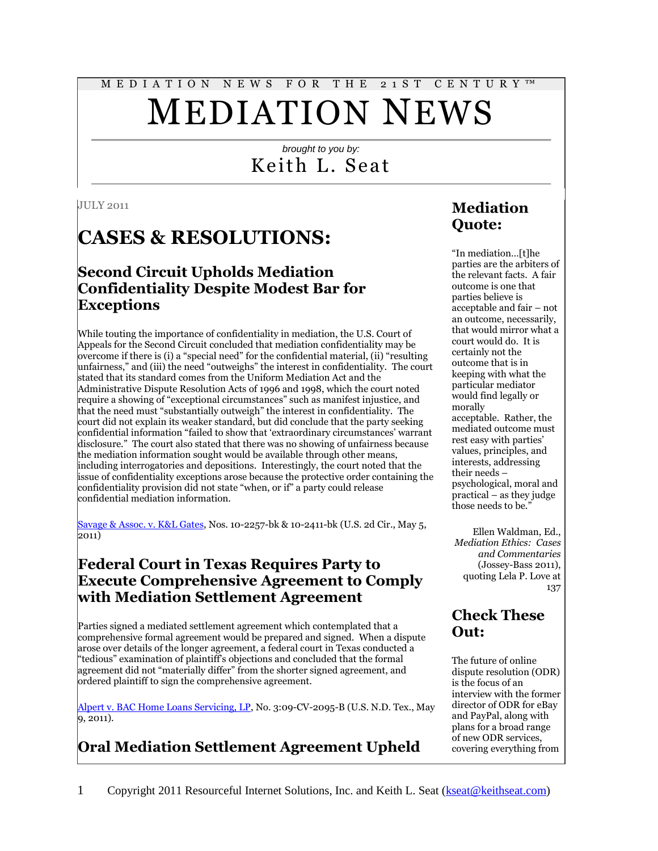# M E D I A T I O N N E W S F O R T H E 2 1 S T C E N T U R Y ™ MEDIATION NEWS

#### *brought to you by:* Keith L. Seat

#### JULY 2011

# **CASES & RESOLUTIONS:**

#### **Second Circuit Upholds Mediation Confidentiality Despite Modest Bar for Exceptions**

While touting the importance of confidentiality in mediation, the U.S. Court of Appeals for the Second Circuit concluded that mediation confidentiality may be overcome if there is (i) a "special need" for the confidential material, (ii) "resulting unfairness," and (iii) the need "outweighs" the interest in confidentiality. The court stated that its standard comes from the Uniform Mediation Act and the Administrative Dispute Resolution Acts of 1996 and 1998, which the court noted require a showing of "exceptional circumstances" such as manifest injustice, and that the need must "substantially outweigh" the interest in confidentiality. The court did not explain its weaker standard, but did conclude that the party seeking confidential information "failed to show that 'extraordinary circumstances' warrant disclosure." The court also stated that there was no showing of unfairness because the mediation information sought would be available through other means, including interrogatories and depositions. Interestingly, the court noted that the issue of confidentiality exceptions arose because the protective order containing the confidentiality provision did not state "when, or if" a party could release confidential mediation information.

[Savage & Assoc. v. K&L Gates,](http://law.justia.com/cases/federal/appellate-courts/ca2/10-2257/10-2257_opn-2011-05-05.html) Nos. 10-2257-bk & 10-2411-bk (U.S. 2d Cir., May 5, 2011)

#### **Federal Court in Texas Requires Party to Execute Comprehensive Agreement to Comply with Mediation Settlement Agreement**

Parties signed a mediated settlement agreement which contemplated that a comprehensive formal agreement would be prepared and signed. When a dispute arose over details of the longer agreement, a federal court in Texas conducted a "tedious" examination of plaintiff's objections and concluded that the formal agreement did not "materially differ" from the shorter signed agreement, and ordered plaintiff to sign the comprehensive agreement.

[Alpert v. BAC Home Loans Servicing, LP,](http://scholar.google.com/scholar_case?case=10351149319870833904&hl=en&lr=lang_en&as_sdt=2,9&as_vis=1&oi=scholaralrt&ct=alrt&cd=12) No. 3:09-CV-2095-B (U.S. N.D. Tex., May 9, 2011).

# **Oral Mediation Settlement Agreement Upheld**

### **Mediation Quote:**

"In mediation…[t]he parties are the arbiters of the relevant facts. A fair outcome is one that parties believe is acceptable and fair – not an outcome, necessarily, that would mirror what a court would do. It is certainly not the outcome that is in keeping with what the particular mediator would find legally or morally acceptable. Rather, the mediated outcome must rest easy with parties' values, principles, and interests, addressing their needs – psychological, moral and practical – as they judge those needs to be."

Ellen Waldman, Ed., *Mediation Ethics: Cases and Commentaries*  (Jossey-Bass 2011), quoting Lela P. Love at 137

#### **Check These Out:**

The future of online dispute resolution (ODR) is the focus of an interview with the former director of ODR for eBay and PayPal, along with plans for a broad range of new ODR services, covering everything from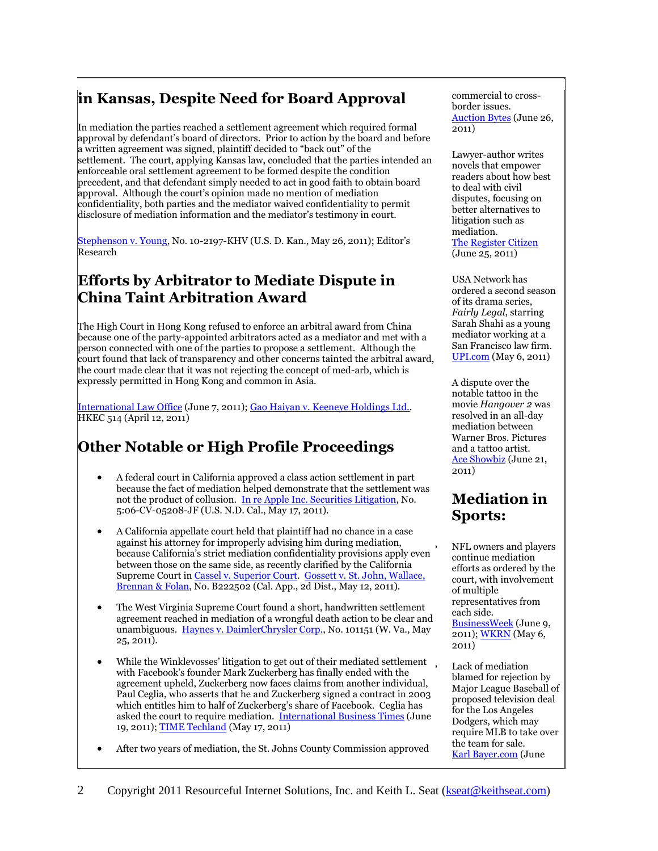## **in Kansas, Despite Need for Board Approval**

In mediation the parties reached a settlement agreement which required formal approval by defendant's board of directors. Prior to action by the board and before a written agreement was signed, plaintiff decided to "back out" of the settlement. The court, applying Kansas law, concluded that the parties intended an enforceable oral settlement agreement to be formed despite the condition precedent, and that defendant simply needed to act in good faith to obtain board approval. Although the court's opinion made no mention of mediation confidentiality, both parties and the mediator waived confidentiality to permit disclosure of mediation information and the mediator's testimony in court.

[Stephenson v. Young,](http://scholar.google.com/scholar_case?case=12655411459760378038&hl=en&as_sdt=2&as_vis=1&oi=scholarr) No. 10-2197-KHV (U.S. D. Kan., May 26, 2011); Editor's Research

#### **Efforts by Arbitrator to Mediate Dispute in China Taint Arbitration Award**

The High Court in Hong Kong refused to enforce an arbitral award from China because one of the party-appointed arbitrators acted as a mediator and met with a person connected with one of the parties to propose a settlement. Although the court found that lack of transparency and other concerns tainted the arbitral award, the court made clear that it was not rejecting the concept of med-arb, which is expressly permitted in Hong Kong and common in Asia.

[International Law Office](http://www.internationallawoffice.com/newsletters/detail.aspx?g=01c79b2a-3f67-482c-89c9-b85a2408b0d3) (June 7, 2011); [Gao Haiyan v. Keeneye Holdings Ltd.](http://legalref.judiciary.gov.hk/lrs/common/ju/ju_frame.jsp?DIS=76050&currpage=T)*,*  HKEC 514 (April 12, 2011)

#### **Other Notable or High Profile Proceedings**

- A federal court in California approved a class action settlement in part because the fact of mediation helped demonstrate that the settlement was not the product of collusion. [In re Apple Inc. Securities Litigation,](http://scholar.google.com/scholar_case?case=16994404756157285978&hl=en&lr=lang_en&as_sdt=2,9&as_vis=1&oi=scholaralrt&ct=alrt&cd=4) No. 5:06-CV-05208-JF (U.S. N.D. Cal., May 17, 2011).
- A California appellate court held that plaintiff had no chance in a case against his attorney for improperly advising him during mediation, because California's strict mediation confidentiality provisions apply even between those on the same side, as recently clarified by the California Supreme Court in [Cassel v. Superior Court.](http://scholar.google.com/scholar_case?case=13735814519465166183&hl=en&lr=lang_en&as_sdt=2,9&as_vis=1) [Gossett v. St. John, Wallace,](http://scholar.google.com/scholar_case?case=17629135781183485840&hl=en&lr=lang_en&as_sdt=2,9&as_vis=1&oi=scholaralrt&ct=alrt&cd=0)  [Brennan & Folan,](http://scholar.google.com/scholar_case?case=17629135781183485840&hl=en&lr=lang_en&as_sdt=2,9&as_vis=1&oi=scholaralrt&ct=alrt&cd=0) No. B222502 (Cal. App., 2d Dist., May 12, 2011).
- The West Virginia Supreme Court found a short, handwritten settlement agreement reached in mediation of a wrongful death action to be clear and unambiguous. [Haynes v. DaimlerChrysler Corp.,](http://scholar.google.com/scholar_case?case=5879312678966827857&hl=en&lr=lang_en&as_sdt=2,9&as_vis=1&oi=scholaralrt&ct=alrt&cd=0) No. 101151 (W. Va., May 25, 2011).
- While the Winklevosses' litigation to get out of their mediated settlement. with Facebook's founder Mark Zuckerberg has finally ended with the agreement upheld, Zuckerberg now faces claims from another individual, Paul Ceglia, who asserts that he and Zuckerberg signed a contract in 2003 which entitles him to half of Zuckerberg's share of Facebook. Ceglia has asked the court to require mediation. [International Business Times](http://au.ibtimes.com/articles/165337/20110619/facebook-zuckenberg-ceglia-lawsuit.htm) (June 19, 2011)[; TIME Techland](http://techland.time.com/2011/05/17/winklevosses-denied-by-ninth-circuit-head-for-supreme-court/) (May 17, 2011)
- After two years of mediation, the St. Johns County Commission approved

commercial to crossborder issues. [Auction Bytes](http://www.auctionbytes.com/cab/cab/abu/y211/m06/abu0289/s05) (June 26, 2011)

Lawyer-author writes novels that empower readers about how best to deal with civil disputes, focusing on better alternatives to litigation such as mediation. [The Register Citizen](http://www.registercitizen.com/articles/2011/06/25/news/doc4e06a878f2eb7918240844.txt?viewmode=fullstory) (June 25, 2011)

USA Network has ordered a second season of its drama series, *Fairly Legal*, starring Sarah Shahi as a young mediator working at a San Francisco law firm. [UPI.com](http://www.upi.com/Entertainment_News/TV/2011/05/06/USA-renews-Fairly-Legal-for-2nd-season/UPI-46051304668140/) (May 6, 2011)

A dispute over the notable tattoo in the movie *Hangover 2* was resolved in an all-day mediation between Warner Bros. Pict[ures](http://www.aceshowbiz.com/news/view/00041484.html)  and a tattoo artist. [Ace Showbiz](http://www.aceshowbiz.com/news/view/00041484.html) (June 21, 2011)

#### **Mediation in Sports:**

 NFL owners and players continue mediation efforts as ordered by the court, with involvement of multiple representatives from each side. [BusinessWeek](http://www.businessweek.com/ap/financialnews/D9NOCMEG3.htm) (June 9, 2011)[; WKRN](http://www.wkrn.com/story/14443607/nfls-goodell-looking-forward-to-mediation) (May 6, 2011)

 Lack of mediation blamed for rejection by Major League Baseball of proposed television deal for the Los Angeles Dodgers, which may require MLB to take over the team for sale. [Karl Bayer.com](http://www.karlbayer.com/blog/?p=14646) (June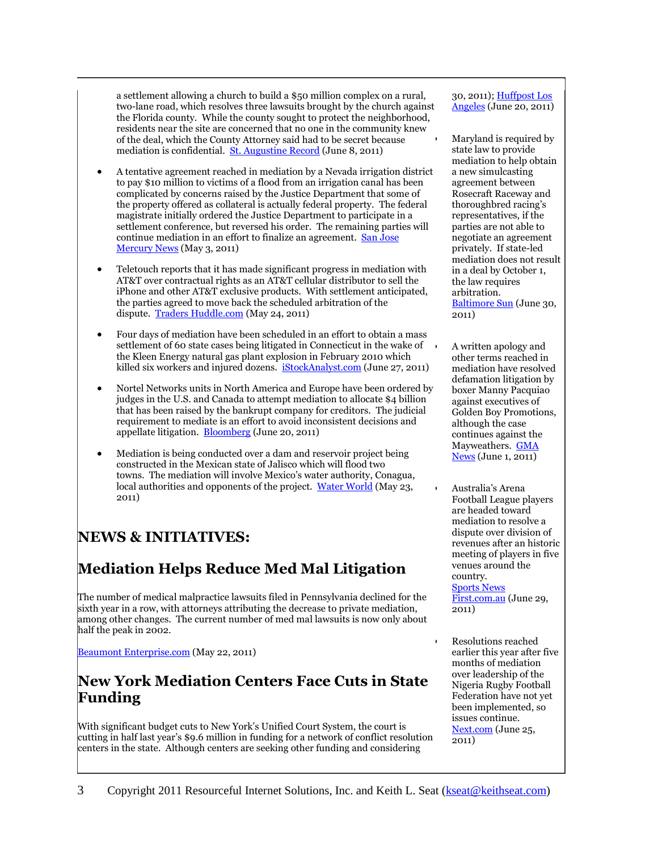a settlement allowing a church to build a \$50 million complex on a rural, two-lane road, which resolves three lawsuits brought by the church against the Florida county. While the county sought to protect the neighborhood, residents near the site are concerned that no one in the community knew of the deal, which the County Attorney said had to be secret because mediation is confidential. [St. Augustine Record](http://staugustine.com/news/local-news/2011-06-07/hopewell-deal-surprises-residents) (June 8, 2011)

- A tentative agreement reached in mediation by a Nevada irrigation district to pay \$10 million to victims of a flood from an irrigation canal has been complicated by concerns raised by the Justice Department that some of the property offered as collateral is actually federal property. The federal magistrate initially ordered the Justice Department to participate in a settlement conference, but reversed his order. The remaining parties will continue mediation in an effort to finalize an agreement. [San Jose](http://www.mercurynews.com/breaking-news/ci_17983736?nclick_check=1)  [Mercury News](http://www.mercurynews.com/breaking-news/ci_17983736?nclick_check=1) (May 3, 2011)
- Teletouch reports that it has made significant progress in mediation with AT&T over contractual rights as an AT&T cellular distributor to sell the iPhone and other AT&T exclusive products. With settlement anticipated, the parties agreed to move back the scheduled arbitration of the dispute. [Traders Huddle.com](http://www.tradershuddle.com/20110524233835/Press-Releases/Teletouch-Subsidiary-Progressive-Concepts-Inc.-dba-Hawk-Electronics-and-ATT-Reach-Tentative-Settlement-in-Mediation-%E2%80%93-Parties-Mutually-Agree-to-Reschedule-Arbitration-Hearing-Start-to-July-) (May 24, 2011)
- Four days of mediation have been scheduled in an effort to obtain a mass settlement of 60 state cases being litigated in Connecticut in the wake of the Kleen Energy natural gas plant explosion in February 2010 which killed six workers and injured dozens. [iStockAnalyst.com](http://www.istockanalyst.com/business/news/5257150/kleen-energy-explosion-lawsuits-headed-to-mediation) (June 27, 2011)
- Nortel Networks units in North America and Europe have been ordered by judges in the U.S. and Canada to attempt mediation to allocate \$4 billion that has been raised by the bankrupt company for creditors. The judicial requirement to mediate is an effort to avoid inconsistent decisions and appellate litigation. [Bloomberg](http://www.bloomberg.com/news/2011-06-20/nortel-judge-orders-mediation-on-rules-for-units-to-split-up-4-billion.html) (June 20, 2011)
- Mediation is being conducted over a dam and reservoir project being constructed in the Mexican state of Jalisco which will flood two towns. The mediation will involve Mexico's water authority, Conagua, local authorities and opponents of the project. [Water World](http://www.waterworld.com/index/display/news_display/1423027346.html) (May 23, 2011)

# **NEWS & INITIATIVES:**

# **Mediation Helps Reduce Med Mal Litigation**

The number of medical malpractice lawsuits filed in Pennsylvania declined for the sixth year in a row, with attorneys attributing the decrease to private mediation, among other changes. The current number of med mal lawsuits is now only about half the peak in 2002.

[Beaumont Enterprise.com](http://www.beaumontenterprise.com/news/article/Malpractice-suits-in-Pa-drop-for-6th-year-in-row-1390696.php) (May 22, 2011)

#### **New York Mediation Centers Face Cuts in State Funding**

With significant budget cuts to New York's Unified Court System, the court is cutting in half last year's \$9.6 million in funding for a network of conflict resolution centers in the state. Although centers are seeking other funding and considering

30, 2011)[; Huffpost Los](http://www.huffingtonpost.com/2011/06/20/selig-mccourt-dodgers-deal-_n_880788.html)  [Angeles](http://www.huffingtonpost.com/2011/06/20/selig-mccourt-dodgers-deal-_n_880788.html) (June 20, 2011)

 Maryland is required by state law to provide mediation to help obtain a new simulcasting agreement between Rosecraft Raceway and thoroughbred racing's representatives, if the parties are not able to negotiate an agreement privately. If state-led mediation does not result in a deal by October 1, the law requires arbitration. [Baltimore Sun](http://www.baltimoresun.com/business/bs-bz-rosecroft-simulcast-mediation-20110630,0,440536.story) (June 30, 2011)

 A written apology and other terms reached in mediation have resolved defamation litigation by boxer Manny Pacquiao against executives of Golden Boy Promotions, although the case continues against the Mayweathers. [GMA](http://www.gmanews.tv/pbr/article/222281/sports/pacquiaos-lawsuit-vs-mayweathers-still-stands)  [News](http://www.gmanews.tv/pbr/article/222281/sports/pacquiaos-lawsuit-vs-mayweathers-still-stands) (June 1, 2011)

- Australia's Arena Football League players are headed toward mediation to resolve a dispute over division of revenues after an historic meeting of players in five venues around the country. [Sports News](http://www.sportsnewsfirst.com.au/articles/2011/06/29/afl-players-headed-to-pay-mediation/)  [First.com.au](http://www.sportsnewsfirst.com.au/articles/2011/06/29/afl-players-headed-to-pay-mediation/) (June 29, 2011)
- Resolutions reached earlier this year after five months of mediation over leadership of the Nigeria Rugby Football Federation have not yet been implemented, so issues continue. [Next.com](http://234next.com/csp/cms/sites/Next/Sport/5720856-147/story.csp) (June 25, 2011)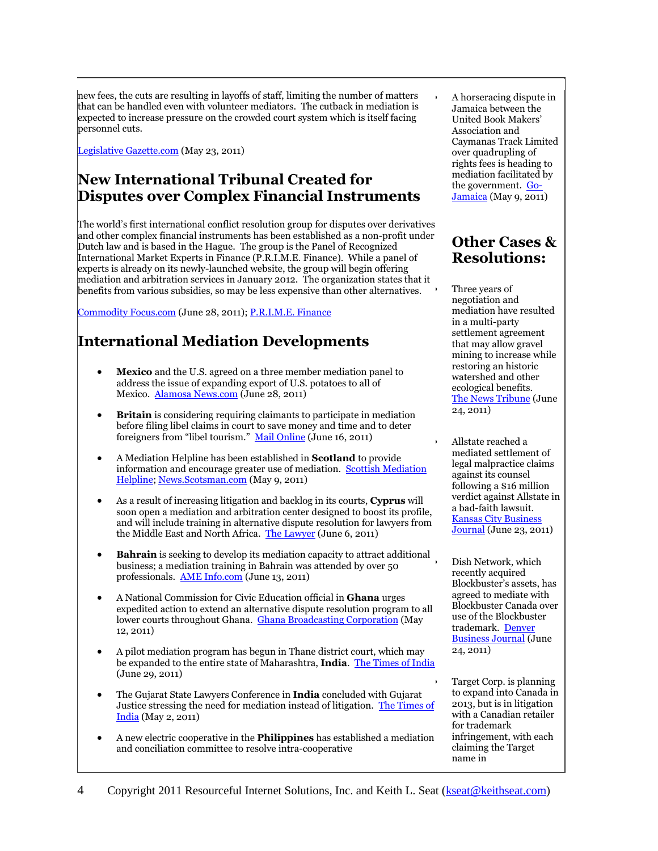new fees, the cuts are resulting in layoffs of staff, limiting the number of matters that can be handled even with volunteer mediators. The cutback in mediation is expected to increase pressure on the crowded court system which is itself facing personnel cuts.

[Legislative Gazette.com](http://www.legislativegazette.com/Articles-c-2011-05-23-77567.113122-Dispute-resolution-funding-cuts-could-impact-court-system.html) (May 23, 2011)

#### **New International Tribunal Created for Disputes over Complex Financial Instruments**

The world's first international conflict resolution group for disputes over derivatives and other complex financial instruments has been established as a non-profit under Dutch law and is based in the Hague. The group is the Panel of Recognized International Market Experts in Finance (P.R.I.M.E. Finance). While a panel of experts is already on its newly-launched website, the group will begin offering mediation and arbitration services in January 2012. The organization states that it benefits from various subsidies, so may be less expensive than other alternatives.

[Commodity Focus.com](http://commodityfocus.com/dj-experts-to-unveil-tribunal-for-disputes-over-complex-financial-instruments/2011/06/28/) (June 28, 2011); [P.R.I.M.E. Finance](http://www.primefinancedisputes.org/)

# **International Mediation Developments**

- **Mexico** and the U.S. agreed on a three member mediation panel to address the issue of expanding export of U.S. potatoes to all of Mexico. [Alamosa News.com](http://www.alamosanews.com/v2_news_articles.php?heading=0&page=72&story_id=21153) (June 28, 2011)
- **Britain** is considering requiring claimants to participate in mediation before filing libel claims in court to save money and time and to deter foreigners from "libel tourism." [Mail Online](http://www.dailymail.co.uk/news/article-2004051/Ken-Clarke-force-rich-famous-mediation-libel-claims.html?ito=feeds-newsxml) (June 16, 2011)
- A Mediation Helpline has been established in **Scotland** to provide information and encourage greater use of mediation. [Scottish Mediation](http://www.scottishmediation.org.uk/?faq-item=scottish-mediation-helpline)  [Helpline;](http://www.scottishmediation.org.uk/?faq-item=scottish-mediation-helpline) [News.Scotsman.com](http://news.scotsman.com/politics/Law-and-Legal-Affairs-Halfway.6764802.jp?articlepage=3) (May 9, 2011)
- As a result of increasing litigation and backlog in its courts, **Cyprus** will soon open a mediation and arbitration center designed to boost its profile, and will include training in alternative dispute resolution for lawyers from the Middle East and North Africa. [The Lawyer](http://www.thelawyer.com/fighting-chance/1008161.article) (June 6, 2011)
- **Bahrain** is seeking to develop its mediation capacity to attract additional business; a mediation training in Bahrain was attended by over 50 professionals. [AME Info.com](http://www.ameinfo.com/267858.html) (June 13, 2011)
- A National Commission for Civic Education official in **Ghana** urges expedited action to extend an alternative dispute resolution program to all lower courts throughout Ghana. [Ghana Broadcasting Corporation](http://gbcghana.com/index.php?id=1.358607.1.384021) (May 12, 2011)
- A pilot mediation program has begun in Thane district court, which may be expanded to the entire state of Maharashtra, **India**. [The Times of India](http://timesofindia.indiatimes.com/city/thane/Thane-gets-two-mediators-to-clear-pending-court-cases/articleshow/9037130.cms) (June 29, 2011)
- The Gujarat State Lawyers Conference in **India** concluded with Gujarat Justice stressing the need for mediation instead of litigation. [The Times of](http://articles.timesofindia.indiatimes.com/2011-05-02/rajkot/29495145_1_senior-judges-mediation-high-court)  [India](http://articles.timesofindia.indiatimes.com/2011-05-02/rajkot/29495145_1_senior-judges-mediation-high-court) (May 2, 2011)
- A new electric cooperative in the **Philippines** has established a mediation and conciliation committee to resolve intra-cooperative

 A horseracing dispute in Jamaica between the United Book Makers' Association and Caymanas Track Limited over quadrupling of rights fees is heading to mediation facilitated by the government. [Go-](http://go-jamaica.com/news/read_article.php?id=28578)[Jamaica](http://go-jamaica.com/news/read_article.php?id=28578) (May 9, 2011)

### **Other Cases & Resolutions:**

 Three years of negotiation and mediation have resulted in a multi-party settlement agreement that may allow gravel mining to increase while restoring an historic watershed and other ecological benefits. [The News Tribune](http://www.thenewstribune.com/2011/06/24/1719926/deal-lets-company-expand-dupont.html) (June 24, 2011)

 Allstate reached a mediated settlement of legal malpractice claims against its counsel following a \$16 million verdict against Allstate in a bad-faith lawsuit. [Kansas City Business](http://www.bizjournals.com/kansascity/news/2011/06/23/allstate-wallace-saunders-malpractice.html?page=all)  [Journal](http://www.bizjournals.com/kansascity/news/2011/06/23/allstate-wallace-saunders-malpractice.html?page=all) (June 23, 2011)

> Dish Network, which recently acquired Blockbuster's assets, has agreed to mediate with Blockbuster Canada over use of the Blockbuster trademark. [Denver](http://www.bizjournals.com/denver/morning_call/2011/06/mediation-ahead-over-rights-to.html)  [Business Journal](http://www.bizjournals.com/denver/morning_call/2011/06/mediation-ahead-over-rights-to.html) (June 24, 2011)

 Target Corp. is planning to expand into Canada in 2013, but is in litigation with a Canadian retailer for trademark infringement, with each claiming the Target name in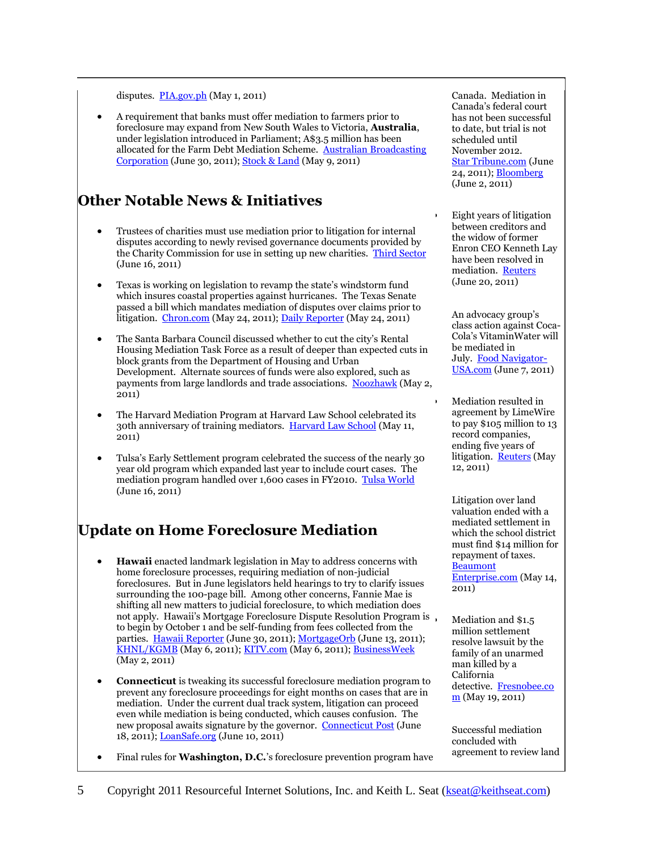#### disputes.  $PIA.gov.ph$  (May 1, 2011)

 A requirement that banks must offer mediation to farmers prior to foreclosure may expand from New South Wales to Victoria, **Australia**, under legislation introduced in Parliament; A\$3.5 million has been allocated for the Farm Debt Mediation Scheme. [Australian Broadcasting](http://www.abc.net.au/news/stories/2011/06/30/3257125.htm)  [Corporation](http://www.abc.net.au/news/stories/2011/06/30/3257125.htm) (June 30, 2011); [Stock & Land](http://sl.farmonline.com.au/news/state/agribusiness-and-general/finance/govt-funds-farm-debt-mediation-scheme/2156966.aspx) (May 9, 2011)

#### **Other Notable News & Initiatives**

- Trustees of charities must use mediation prior to litigation for internal disputes according to newly revised governance documents provided by the Charity Commission for use in setting up new charities. [Third Sector](http://thirdsector.co.uk/Channels/Governance/Article/1075394/New-model-governance-documents-emphasise-mediation/) (June 16, 2011)
- Texas is working on legislation to revamp the state's windstorm fund which insures coastal properties against hurricanes. The Texas Senate passed a bill which mandates mediation of disputes over claims prior to litigation. [Chron.com](http://www.chron.com/disp/story.mpl/business/7580022.html) (May 24, 2011); [Daily Reporter](http://www.greenfieldreporter.com/view/story/2ee1adea4fbc471a871573e001ed79a9/TX-XGR--Texas-Windstorm/) (May 24, 2011)
- The Santa Barbara Council discussed whether to cut the city's Rental Housing Mediation Task Force as a result of deeper than expected cuts in block grants from the Department of Housing and Urban Development. Alternate sources of funds were also explored, such as payments from large landlords and trade associations. [Noozhawk](http://www.noozhawk.com/article/050211_rental_housing_mediation_task_force/) (May 2, 2011)
- The Harvard Mediation Program at Harvard Law School celebrated its 30th anniversary of training mediators. [Harvard Law School](http://www.law.harvard.edu/news/2011/05/11_harvard-mediation-program-celebrates-30-years.html) (May 11, 2011)
- Tulsa's Early Settlement program celebrated the success of the nearly 30 year old program which expanded last year to include court cases. The mediation program handled over 1,600 cases in FY2010. [Tulsa World](http://www.tulsaworld.com/news/article.aspx?subjectid=11&articleid=20110616_16_A5_Cityco546302) (June 16, 2011)

## **Update on Home Foreclosure Mediation**

- **Hawaii** enacted landmark legislation in May to address concerns with home foreclosure processes, requiring mediation of non-judicial foreclosures. But in June legislators held hearings to try to clarify issues surrounding the 100-page bill. Among other concerns, Fannie Mae is shifting all new matters to judicial foreclosure, to which mediation does not apply. Hawaii's Mortgage Foreclosure Dispute Resolution Program is to begin by October 1 and be self-funding from fees collected from the parties. [Hawaii Reporter](http://www.hawaiireporter.com/new-hawaii-foreclosure-law-controversial-in-industry/123) (June 30, 2011)[; MortgageOrb](http://www.mortgageorb.com/e107_plugins/content/content.php?content.8891) (June 13, 2011); [KHNL/KGMB](http://www.hawaiinewsnow.com/story/14584685/mortgage-foreclosure-mediation-now-law) (May 6, 2011); [KITV.com](http://www.kitv.com/news/27796941/detail.html) (May 6, 2011); [BusinessWeek](http://www.businessweek.com/ap/financialnews/D9MVNQ9O0.htm) (May 2, 2011)
- **Connecticut** is tweaking its successful foreclosure mediation program to prevent any foreclosure proceedings for eight months on cases that are in mediation. Under the current dual track system, litigation can proceed even while mediation is being conducted, which causes confusion. The new proposal awaits signature by the governor. [Connecticut Post](http://www.ctpost.com/local/article/Tweak-of-foreclosure-mediation-law-carries-1430195.php) (June 18, 2011); [LoanSafe.org](http://www.loansafe.org/distressed-homeowners-in-mediation-get-reprieve-from-foreclosure-litigation) (June 10, 2011)
- Final rules for **Washington, D.C.**'s foreclosure prevention program have

Canada. Mediation in Canada's federal court has not been successful to date, but trial is not scheduled until November 2012. [Star Tribune.com](http://www.startribune.com/business/124489523.html) (June 24, 2011); [Bloomberg](http://www.bloomberg.com/news/2011-06-02/target-enters-court-mediation-in-dispute-over-naming-rights-in-canada.html) (June 2, 2011)

 Eight years of litigation between creditors and the widow of former Enron CEO Kenneth Lay have been resolved in mediation. [Reuters](http://www.reuters.com/article/2011/06/20/us-enron-lay-idUSTRE75J3GC20110620) (June 20, 2011)

An advocacy group's class action against Coca-Cola's VitaminWater will be mediated in July. [Food Navigator-](http://www.foodnavigator-usa.com/Legislation/Coca-Cola-VitaminWater-class-action-to-go-to-mediation)[USA.com](http://www.foodnavigator-usa.com/Legislation/Coca-Cola-VitaminWater-class-action-to-go-to-mediation) (June 7, 2011)

 Mediation resulted in agreement by LimeWire to pay \$105 million to 13 record companies, ending five years of litigation. **[Reuters](http://www.reuters.com/article/2011/05/12/limewire-idUSN1211102220110512)** (May 12, 2011)

Litigation over land valuation ended with a mediated settlement in which the school district must find \$14 million for repayment of taxes. [Beaumont](http://www.beaumontenterprise.com/news/education/article/Port-Arthur-ISD-must-pay-14-6-million-to-settle-1380191.php)  [Enterprise.com](http://www.beaumontenterprise.com/news/education/article/Port-Arthur-ISD-must-pay-14-6-million-to-settle-1380191.php) (May 14, 2011)

 Mediation and \$1.5 million settlement resolve lawsuit by the family of an unarmed man killed by a California detective. [Fresnobee.co](http://www.fresnobee.com/2011/05/19/2395112/tulare-county-to-pay-15m-to-family.html) [m](http://www.fresnobee.com/2011/05/19/2395112/tulare-county-to-pay-15m-to-family.html) (May 19, 2011)

Successful mediation concluded with agreement to review land

5 Copyright 2011 Resourceful Internet Solutions, Inc. and Keith L. Seat (kseat@keithseat.com)